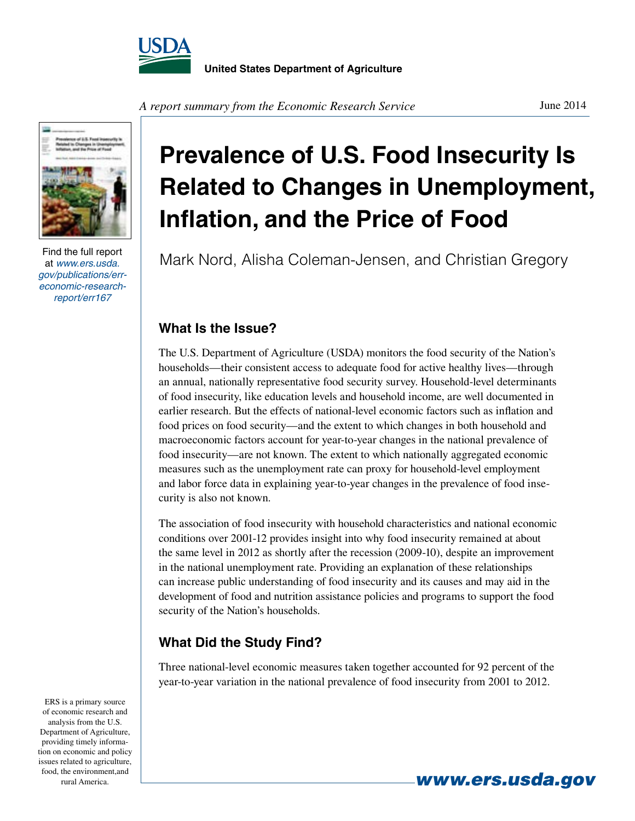



Find the full report at *www.ers.usda. gov/publications/erreconomic-researchreport/err167*

**Prevalence of U.S. Food Insecurity Is Related to Changes in Unemployment, Inflation, and the Price of Food**

Mark Nord, Alisha Coleman-Jensen, and Christian Gregory

## **What Is the Issue?**

The U.S. Department of Agriculture (USDA) monitors the food security of the Nation's households—their consistent access to adequate food for active healthy lives—through an annual, nationally representative food security survey. Household-level determinants of food insecurity, like education levels and household income, are well documented in earlier research. But the effects of national-level economic factors such as inflation and food prices on food security—and the extent to which changes in both household and macroeconomic factors account for year-to-year changes in the national prevalence of food insecurity—are not known. The extent to which nationally aggregated economic measures such as the unemployment rate can proxy for household-level employment and labor force data in explaining year-to-year changes in the prevalence of food insecurity is also not known.

The association of food insecurity with household characteristics and national economic conditions over 2001-12 provides insight into why food insecurity remained at about the same level in 2012 as shortly after the recession (2009-10), despite an improvement in the national unemployment rate. Providing an explanation of these relationships can increase public understanding of food insecurity and its causes and may aid in the development of food and nutrition assistance policies and programs to support the food security of the Nation's households.

## **What Did the Study Find?**

Three national-level economic measures taken together accounted for 92 percent of the year-to-year variation in the national prevalence of food insecurity from 2001 to 2012.

ERS is a primary source of economic research and analysis from the U.S. Department of Agriculture, providing timely information on economic and policy issues related to agriculture, food, the environment,and

**rural America.** *www.ers.usda.gov*